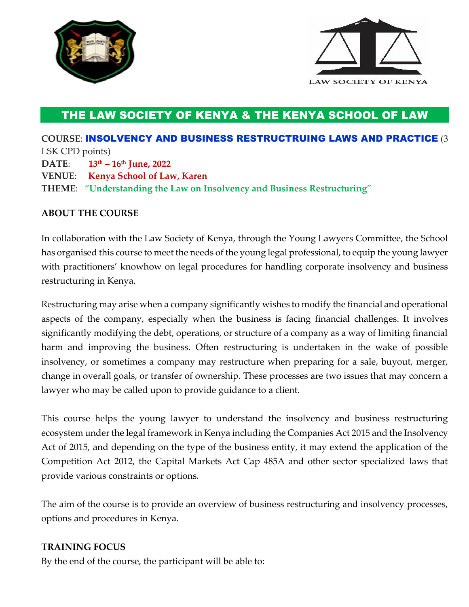



## THE LAW SOCIETY OF KENYA & THE KENYA SCHOOL OF LAW

**COURSE**: INSOLVENCY AND BUSINESS RESTRUCTRUING LAWS AND PRACTICE (3 LSK CPD points) **DATE**: **13th – 16 th June, 2022 VENUE**: **Kenya School of Law, Karen THEME**: "**Understanding the Law on Insolvency and Business Restructuring**"

## **ABOUT THE COURSE**

In collaboration with the Law Society of Kenya, through the Young Lawyers Committee, the School has organised this course to meet the needs of the young legal professional, to equip the young lawyer with practitioners' knowhow on legal procedures for handling corporate insolvency and business restructuring in Kenya.

Restructuring may arise when a company significantly wishes to modify the financial and operational aspects of the company, especially when the business is facing financial challenges. It involves significantly modifying the debt, operations, or structure of a company as a way of limiting financial harm and improving the business. Often restructuring is undertaken in the wake of possible insolvency, or sometimes a company may restructure when preparing for a sale, buyout, merger, change in overall goals, or transfer of ownership. These processes are two issues that may concern a lawyer who may be called upon to provide guidance to a client.

This course helps the young lawyer to understand the insolvency and business restructuring ecosystem under the legal framework in Kenya including the Companies Act 2015 and the Insolvency Act of 2015, and depending on the type of the business entity, it may extend the application of the Competition Act 2012, the Capital Markets Act Cap 485A and other sector specialized laws that provide various constraints or options.

The aim of the course is to provide an overview of business restructuring and insolvency processes, options and procedures in Kenya.

## **TRAINING FOCUS**

By the end of the course, the participant will be able to: